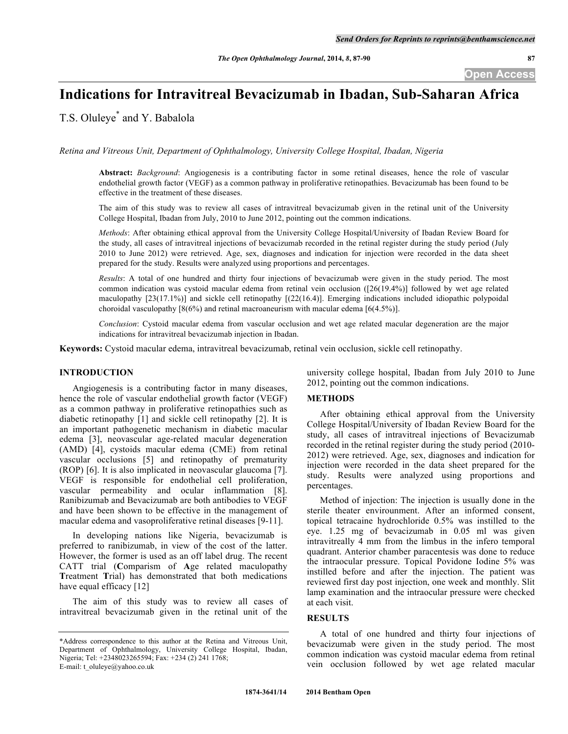# **Indications for Intravitreal Bevacizumab in Ibadan, Sub-Saharan Africa**

T.S. Oluleye\* and Y. Babalola

*Retina and Vitreous Unit, Department of Ophthalmology, University College Hospital, Ibadan, Nigeria*

**Abstract:** *Background*: Angiogenesis is a contributing factor in some retinal diseases, hence the role of vascular endothelial growth factor (VEGF) as a common pathway in proliferative retinopathies. Bevacizumab has been found to be effective in the treatment of these diseases.

The aim of this study was to review all cases of intravitreal bevacizumab given in the retinal unit of the University College Hospital, Ibadan from July, 2010 to June 2012, pointing out the common indications.

*Methods*: After obtaining ethical approval from the University College Hospital/University of Ibadan Review Board for the study, all cases of intravitreal injections of bevacizumab recorded in the retinal register during the study period (July 2010 to June 2012) were retrieved. Age, sex, diagnoses and indication for injection were recorded in the data sheet prepared for the study. Results were analyzed using proportions and percentages.

*Results*: A total of one hundred and thirty four injections of bevacizumab were given in the study period. The most common indication was cystoid macular edema from retinal vein occlusion ([26(19.4%)] followed by wet age related maculopathy [23(17.1%)] and sickle cell retinopathy [(22(16.4)]. Emerging indications included idiopathic polypoidal choroidal vasculopathy [8(6%) and retinal macroaneurism with macular edema [6(4.5%)].

*Conclusion*: Cystoid macular edema from vascular occlusion and wet age related macular degeneration are the major indications for intravitreal bevacizumab injection in Ibadan.

**Keywords:** Cystoid macular edema, intravitreal bevacizumab, retinal vein occlusion, sickle cell retinopathy.

## **INTRODUCTION**

Angiogenesis is a contributing factor in many diseases, hence the role of vascular endothelial growth factor (VEGF) as a common pathway in proliferative retinopathies such as diabetic retinopathy [1] and sickle cell retinopathy [2]. It is an important pathogenetic mechanism in diabetic macular edema [3], neovascular age-related macular degeneration (AMD) [4], cystoids macular edema (CME) from retinal vascular occlusions [5] and retinopathy of prematurity (ROP) [6]. It is also implicated in neovascular glaucoma [7]. VEGF is responsible for endothelial cell proliferation, vascular permeability and ocular inflammation [8]. Ranibizumab and Bevacizumab are both antibodies to VEGF and have been shown to be effective in the management of macular edema and vasoproliferative retinal diseases [9-11].

In developing nations like Nigeria, bevacizumab is preferred to ranibizumab, in view of the cost of the latter. However, the former is used as an off label drug. The recent CATT trial (**C**omparism of **A**ge related maculopathy **T**reatment **T**rial) has demonstrated that both medications have equal efficacy [12]

The aim of this study was to review all cases of intravitreal bevacizumab given in the retinal unit of the

university college hospital, Ibadan from July 2010 to June 2012, pointing out the common indications.

# **METHODS**

After obtaining ethical approval from the University College Hospital/University of Ibadan Review Board for the study, all cases of intravitreal injections of Bevacizumab recorded in the retinal register during the study period (2010- 2012) were retrieved. Age, sex, diagnoses and indication for injection were recorded in the data sheet prepared for the study. Results were analyzed using proportions and percentages.

Method of injection: The injection is usually done in the sterile theater envirounment. After an informed consent, topical tetracaine hydrochloride 0.5% was instilled to the eye. 1.25 mg of bevacizumab in 0.05 ml was given intravitreally 4 mm from the limbus in the infero temporal quadrant. Anterior chamber paracentesis was done to reduce the intraocular pressure. Topical Povidone Iodine 5% was instilled before and after the injection. The patient was reviewed first day post injection, one week and monthly. Slit lamp examination and the intraocular pressure were checked at each visit.

#### **RESULTS**

A total of one hundred and thirty four injections of bevacizumab were given in the study period. The most common indication was cystoid macular edema from retinal vein occlusion followed by wet age related macular

<sup>\*</sup>Address correspondence to this author at the Retina and Vitreous Unit, Department of Ophthalmology, University College Hospital, Ibadan, Nigeria; Tel: +2348023265594; Fax: +234 (2) 241 1768; E-mail: t\_oluleye@yahoo.co.uk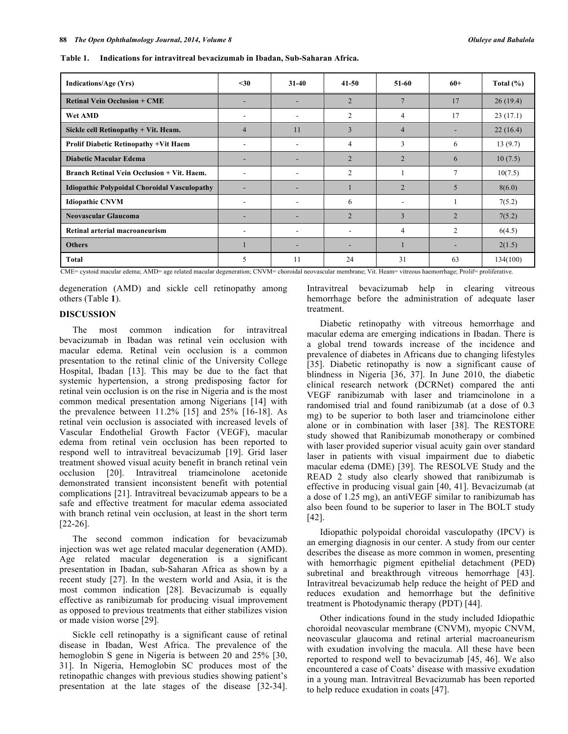| <b>Indications/Age (Yrs)</b>                        | $30$ | $31-40$                  | $41 - 50$      | $51-60$        | $60+$          | Total $(\% )$ |
|-----------------------------------------------------|------|--------------------------|----------------|----------------|----------------|---------------|
| <b>Retinal Vein Occlusion + CME</b>                 |      |                          | $\overline{2}$ |                | 17             | 26(19.4)      |
| Wet AMD                                             | ٠    |                          | $\overline{2}$ | 4              | 17             | 23(17.1)      |
| Sickle cell Retinopathy + Vit. Heam.                | 4    | 11                       | 3              | 4              |                | 22(16.4)      |
| <b>Prolif Diabetic Retinopathy +Vit Haem</b>        | ۰    | $\overline{\phantom{a}}$ | 4              | 3              | 6              | 13(9.7)       |
| <b>Diabetic Macular Edema</b>                       |      |                          | $\overline{2}$ | 2              | 6              | 10(7.5)       |
| Branch Retinal Vein Occlusion + Vit. Haem.          | ۰    | $\overline{\phantom{0}}$ | $\overline{2}$ |                | 7              | 10(7.5)       |
| <b>Idiopathic Polypoidal Choroidal Vasculopathy</b> |      |                          |                | $\overline{2}$ | 5              | 8(6.0)        |
| <b>Idiopathic CNVM</b>                              | ۰    | $\overline{\phantom{a}}$ | 6              |                |                | 7(5.2)        |
| Neovascular Glaucoma                                |      |                          | $\overline{2}$ | 3              | $\mathfrak{D}$ | 7(5.2)        |
| Retinal arterial macroaneurism                      | ۰    | $\overline{\phantom{a}}$ |                | 4              | 2              | 6(4.5)        |
| <b>Others</b>                                       |      |                          |                |                |                | 2(1.5)        |
| Total                                               | 5    | 11                       | 24             | 31             | 63             | 134(100)      |

**Table 1. Indications for intravitreal bevacizumab in Ibadan, Sub-Saharan Africa.**

CME= cystoid macular edema; AMD= age related macular degeneration; CNVM= choroidal neovascular membrane; Vit. Heam= vitreous haemorrhage; Prolif= proliferative.

degeneration (AMD) and sickle cell retinopathy among others (Table **1**).

## **DISCUSSION**

The most common indication for intravitreal bevacizumab in Ibadan was retinal vein occlusion with macular edema. Retinal vein occlusion is a common presentation to the retinal clinic of the University College Hospital, Ibadan [13]. This may be due to the fact that systemic hypertension, a strong predisposing factor for retinal vein occlusion is on the rise in Nigeria and is the most common medical presentation among Nigerians [14] with the prevalence between 11.2% [15] and 25% [16-18]. As retinal vein occlusion is associated with increased levels of Vascular Endothelial Growth Factor (VEGF), macular edema from retinal vein occlusion has been reported to respond well to intravitreal bevacizumab [19]. Grid laser treatment showed visual acuity benefit in branch retinal vein occlusion [20]. Intravitreal triamcinolone acetonide demonstrated transient inconsistent benefit with potential complications [21]. Intravitreal bevacizumab appears to be a safe and effective treatment for macular edema associated with branch retinal vein occlusion, at least in the short term [22-26].

The second common indication for bevacizumab injection was wet age related macular degeneration (AMD). Age related macular degeneration is a significant presentation in Ibadan, sub-Saharan Africa as shown by a recent study [27]. In the western world and Asia, it is the most common indication [28]. Bevacizumab is equally effective as ranibizumab for producing visual improvement as opposed to previous treatments that either stabilizes vision or made vision worse [29].

Sickle cell retinopathy is a significant cause of retinal disease in Ibadan, West Africa. The prevalence of the hemoglobin S gene in Nigeria is between 20 and 25% [30, 31]. In Nigeria, Hemoglobin SC produces most of the retinopathic changes with previous studies showing patient's presentation at the late stages of the disease [32-34]. Intravitreal bevacizumab help in clearing vitreous hemorrhage before the administration of adequate laser treatment.

Diabetic retinopathy with vitreous hemorrhage and macular edema are emerging indications in Ibadan. There is a global trend towards increase of the incidence and prevalence of diabetes in Africans due to changing lifestyles [35]. Diabetic retinopathy is now a significant cause of blindness in Nigeria [36, 37]. In June 2010, the diabetic clinical research network (DCRNet) compared the anti VEGF ranibizumab with laser and triamcinolone in a randomised trial and found ranibizumab (at a dose of 0.3 mg) to be superior to both laser and triamcinolone either alone or in combination with laser [38]. The RESTORE study showed that Ranibizumab monotherapy or combined with laser provided superior visual acuity gain over standard laser in patients with visual impairment due to diabetic macular edema (DME) [39]. The RESOLVE Study and the READ 2 study also clearly showed that ranibizumab is effective in producing visual gain [40, 41]. Bevacizumab (at a dose of 1.25 mg), an antiVEGF similar to ranibizumab has also been found to be superior to laser in The BOLT study [42].

Idiopathic polypoidal choroidal vasculopathy (IPCV) is an emerging diagnosis in our center. A study from our center describes the disease as more common in women, presenting with hemorrhagic pigment epithelial detachment (PED) subretinal and breakthrough vitreous hemorrhage [43]. Intravitreal bevacizumab help reduce the height of PED and reduces exudation and hemorrhage but the definitive treatment is Photodynamic therapy (PDT) [44].

Other indications found in the study included Idiopathic choroidal neovascular membrane (CNVM), myopic CNVM, neovascular glaucoma and retinal arterial macroaneurism with exudation involving the macula. All these have been reported to respond well to bevacizumab [45, 46]. We also encountered a case of Coats' disease with massive exudation in a young man. Intravitreal Bevacizumab has been reported to help reduce exudation in coats [47].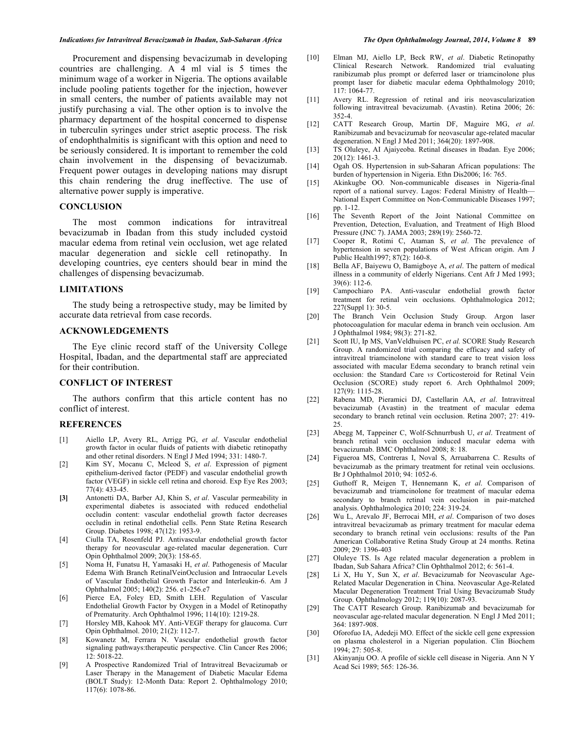#### *Indications for Intravitreal Bevacizumab in Ibadan, Sub-Saharan Africa The Open Ophthalmology Journal***,** *2014***,** *Volume 8* **89**

Procurement and dispensing bevacizumab in developing countries are challenging. A 4 ml vial is 5 times the minimum wage of a worker in Nigeria. The options available include pooling patients together for the injection, however in small centers, the number of patients available may not justify purchasing a vial. The other option is to involve the pharmacy department of the hospital concerned to dispense in tuberculin syringes under strict aseptic process. The risk of endophthalmitis is significant with this option and need to be seriously considered. It is important to remember the cold chain involvement in the dispensing of bevacizumab. Frequent power outages in developing nations may disrupt this chain rendering the drug ineffective. The use of alternative power supply is imperative.

# **CONCLUSION**

The most common indications for intravitreal bevacizumab in Ibadan from this study included cystoid macular edema from retinal vein occlusion, wet age related macular degeneration and sickle cell retinopathy. In developing countries, eye centers should bear in mind the challenges of dispensing bevacizumab.

# **LIMITATIONS**

The study being a retrospective study, may be limited by accurate data retrieval from case records.

#### **ACKNOWLEDGEMENTS**

The Eye clinic record staff of the University College Hospital, Ibadan, and the departmental staff are appreciated for their contribution.

## **CONFLICT OF INTEREST**

The authors confirm that this article content has no conflict of interest.

## **REFERENCES**

- [1] Aiello LP, Avery RL, Arrigg PG, *et al*. Vascular endothelial growth factor in ocular fluids of patients with diabetic retinopathy and other retinal disorders. N Engl J Med 1994; 331: 1480-7.
- [2] Kim SY, Mocanu C, Mcleod S, *et al*. Expression of pigment epithelium-derived factor (PEDF) and vascular endothelial growth factor (VEGF) in sickle cell retina and choroid. Exp Eye Res 2003; 77(4): 433-45.
- **[3]** Antonetti DA, Barber AJ, Khin S, *et al*. Vascular permeability in experimental diabetes is associated with reduced endothelial occludin content: vascular endothelial growth factor decreases occludin in retinal endothelial cells. Penn State Retina Research Group. Diabetes 1998; 47(12): 1953-9.
- [4] Ciulla TA, Rosenfeld PJ. Antivascular endothelial growth factor therapy for neovascular age-related macular degeneration. Curr Opin Ophthalmol 2009; 20(3): 158-65.
- [5] Noma H, Funatsu H, Yamasaki H, *et al*. Pathogenesis of Macular Edema With Branch RetinalVeinOcclusion and Intraocular Levels of Vascular Endothelial Growth Factor and Interleukin-6. Am J Ophthalmol 2005; 140(2): 256. e1-256.e7
- [6] Pierce EA, Foley ED, Smith LEH. Regulation of Vascular Endothelial Growth Factor by Oxygen in a Model of Retinopathy of Prematurity. Arch Ophthalmol 1996; 114(10): 1219-28.
- [7] Horsley MB, Kahook MY. Anti-VEGF therapy for glaucoma. Curr Opin Ophthalmol. 2010; 21(2): 112-7.
- [8] Kowanetz M, Ferrara N. Vascular endothelial growth factor signaling pathways:therapeutic perspective. Clin Cancer Res 2006; 12: 5018-22.
- [9] A Prospective Randomized Trial of Intravitreal Bevacizumab or Laser Therapy in the Management of Diabetic Macular Edema (BOLT Study): 12-Month Data: Report 2. Ophthalmology 2010; 117(6): 1078-86.
- [10] Elman MJ, Aiello LP, Beck RW, *et al*. Diabetic Retinopathy Clinical Research Network. Randomized trial evaluating ranibizumab plus prompt or deferred laser or triamcinolone plus prompt laser for diabetic macular edema Ophthalmology 2010;  $117 \cdot 1064 - 77$
- [11] Avery RL. Regression of retinal and iris neovascularization following intravitreal bevacizumab. (Avastin). Retina 2006; 26: 352-4.
- [12] CATT Research Group, Martin DF, Maguire MG, *et al*. Ranibizumab and bevacizumab for neovascular age-related macular degeneration. N Engl J Med 2011; 364(20): 1897-908.
- [13] TS Oluleye, AI Ajaiyeoba. Retinal diseases in Ibadan. Eye 2006; 20(12): 1461-3.
- [14] Ogah OS. Hypertension in sub-Saharan African populations: The burden of hypertension in Nigeria. Ethn Dis2006; 16: 765.
- [15] Akinkugbe OO. Non-communicable diseases in Nigeria-final report of a national survey. Lagos: Federal Ministry of Health— National Expert Committee on Non-Communicable Diseases 1997; pp. 1-12.
- [16] The Seventh Report of the Joint National Committee on Prevention, Detection, Evaluation, and Treatment of High Blood Pressure (JNC 7). JAMA 2003; 289(19): 2560-72.
- [17] Cooper R, Rotimi C, Ataman S, *et al*. The prevalence of hypertension in seven populations of West African origin. Am J Public Health1997; 87(2): 160-8.
- [18] Bella AF, Baiyewu O, Bamigboye A, *et al*. The pattern of medical illness in a community of elderly Nigerians. Cent Afr J Med 1993; 39(6): 112-6.
- [19] Campochiaro PA. Anti-vascular endothelial growth factor treatment for retinal vein occlusions. Ophthalmologica 2012; 227(Suppl 1): 30-5.
- [20] The Branch Vein Occlusion Study Group. Argon laser photocoagulation for macular edema in branch vein occlusion. Am J Ophthalmol 1984; 98(3): 271-82.
- [21] Scott IU, Ip MS, VanVeldhuisen PC, *et al.* SCORE Study Research Group. A randomized trial comparing the efficacy and safety of intravitreal triamcinolone with standard care to treat vision loss associated with macular Edema secondary to branch retinal vein occlusion: the Standard Care *vs* Corticosteroid for Retinal Vein Occlusion (SCORE) study report 6. Arch Ophthalmol 2009; 127(9): 1115-28.
- [22] Rabena MD, Pieramici DJ, Castellarin AA, *et al*. Intravitreal bevacizumab (Avastin) in the treatment of macular edema secondary to branch retinal vein occlusion. Retina 2007; 27: 419-  $25.$
- [23] Abegg M, Tappeiner C, Wolf-Schnurrbush U, *et al*. Treatment of branch retinal vein occlusion induced macular edema with bevacizumab. BMC Ophthalmol 2008; 8: 18.
- [24] Figueroa MS, Contreras I, Noval S, Arruabarrena C. Results of bevacizumab as the primary treatment for retinal vein occlusions. Br J Ophthalmol 2010; 94: 1052-6.
- [25] Guthoff R, Meigen T, Hennemann K, *et al*. Comparison of bevacizumab and triamcinolone for treatment of macular edema secondary to branch retinal vein occlusion in pair-matched analysis. Ophthalmologica 2010; 224: 319-24.
- [26] Wu L, Arevalo JF, Berrocai MH, *et al*. Comparison of two doses intravitreal bevacizumab as primary treatment for macular edema secondary to branch retinal vein occlusions: results of the Pan American Collaborative Retina Study Group at 24 months. Retina 2009; 29: 1396-403
- [27] Oluleye TS. Is Age related macular degeneration a problem in Ibadan, Sub Sahara Africa? Clin Ophthalmol 2012; 6: 561-4.
- [28] Li X, Hu Y, Sun X, *et al*. Bevacizumab for Neovascular Age-Related Macular Degeneration in China. Neovascular Age-Related Macular Degeneration Treatment Trial Using Bevacizumab Study Group. Ophthalmology 2012; 119(10): 2087-93.
- [29] The CATT Research Group. Ranibizumab and bevacizumab for neovascular age-related macular degeneration. N Engl J Med 2011; 364: 1897-908.
- [30] Oforofuo IA, Adedeji MO. Effect of the sickle cell gene expression on plasma cholesterol in a Nigerian population. Clin Biochem 1994; 27: 505-8.
- [31] Akinyanju OO. A profile of sickle cell disease in Nigeria. Ann N Y Acad Sci 1989; 565: 126-36.